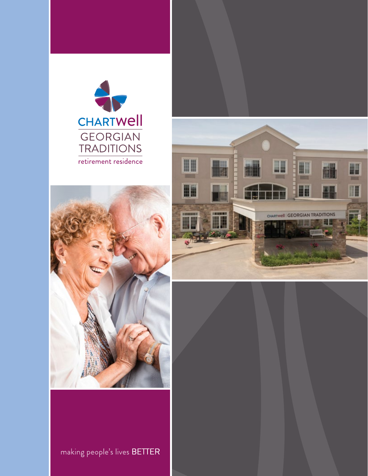





making people's lives BETTER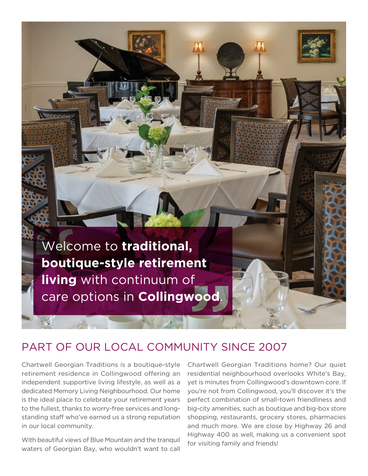

#### PART OF OUR LOCAL COMMUNITY SINCE 2007

Chartwell Georgian Traditions is a boutique-style retirement residence in Collingwood offering an independent supportive living lifestyle, as well as a dedicated Memory Living Neighbourhood. Our home is the ideal place to celebrate your retirement years to the fullest, thanks to worry-free services and longstanding staff who've earned us a strong reputation in our local community.

With beautiful views of Blue Mountain and the tranquil waters of Georgian Bay, who wouldn't want to call Chartwell Georgian Traditions home? Our quiet residential neighbourhood overlooks White's Bay, yet is minutes from Collingwood's downtown core. If you're not from Collingwood, you'll discover it's the perfect combination of small-town friendliness and big-city amenities, such as boutique and big-box store shopping, restaurants, grocery stores, pharmacies and much more. We are close by Highway 26 and Highway 400 as well, making us a convenient spot for visiting family and friends!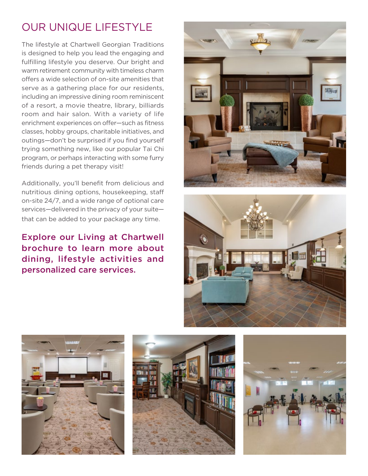# OUR UNIQUE LIFESTYLE

friends during a pet therapy visit! The lifestyle at Chartwell Georgian Traditions is designed to help you lead the engaging and fulfilling lifestyle you deserve. Our bright and warm retirement community with timeless charm offers a wide selection of on-site amenities that serve as a gathering place for our residents, including an impressive dining room reminiscent of a resort, a movie theatre, library, billiards room and hair salon. With a variety of life enrichment experiences on offer—such as fitness classes, hobby groups, charitable initiatives, and outings—don't be surprised if you find yourself trying something new, like our popular Tai Chi program, or perhaps interacting with some furry

Additionally, you'll benefit from delicious and nutritious dining options, housekeeping, staff on-site 24/7, and a wide range of optional care services—delivered in the privacy of your suite that can be added to your package any time.

Explore our Living at Chartwell brochure to learn more about dining, lifestyle activities and personalized care services.









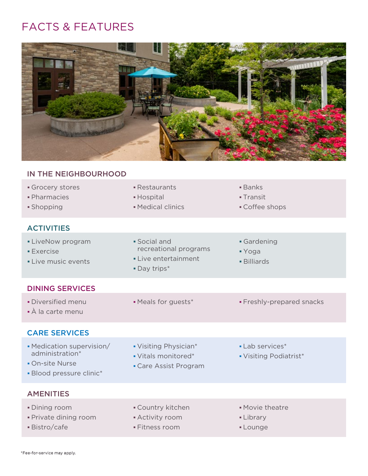# FACTS & FEATURES



### IN THE NEIGHBOURHOOD Grocery stores **Restaurants Banks**  Pharmacies Hospital Transit **Shopping Contract Contract Contract Contract Contract Contract Contract Contract Contract Contract Contract Contract Contract Contract Contract Contract Contract Contract Contract Contract Contract Contract Contract Contr ACTIVITIES** LiveNow program Social and Social and Gardening **Exercise Exercise Exercise Exercise Exercise** • Live music events **Example 2** Live entertainment **Example 2 Live music events**  Day trips\* DINING SERVICES • Diversified menu **• Meals for guests\*** • Freshly-prepared snacks À la carte menu CARE SERVICES • Medication supervision/ • Visiting Physician\* • Lab services\* administration\* **I** Vitals monitored\* **I** Visiting Podiatrist\* **On-site Nurse Care Assist Program**  Blood pressure clinic\* AMENITIES

- 
- Private dining room Activity room Library
- 
- 
- 
- Bistro/cafe Fitness room Lounge
- Dining room **Country kitchen** Country kitchen Movie theatre
	-
	-